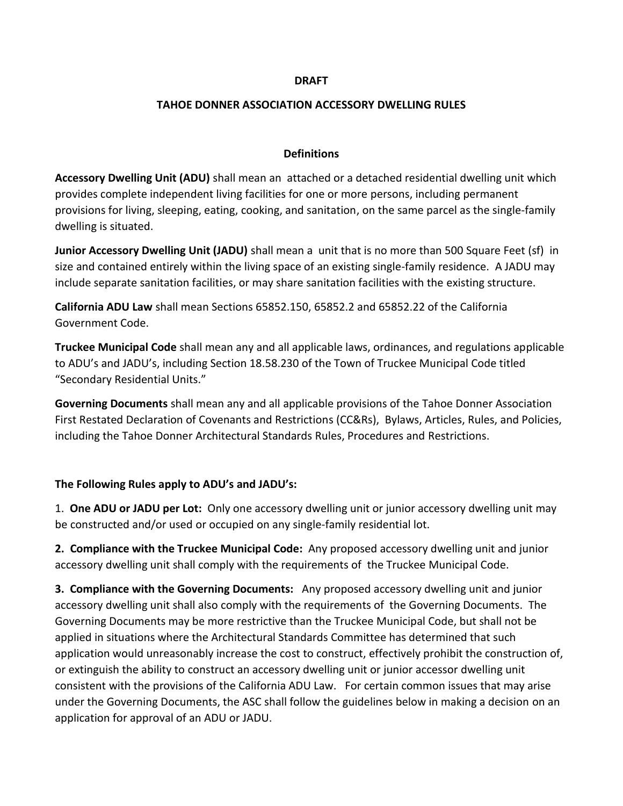#### **DRAFT**

### **TAHOE DONNER ASSOCIATION ACCESSORY DWELLING RULES**

### **Definitions**

**Accessory Dwelling Unit (ADU)** shall mean an attached or a detached residential dwelling unit which provides complete independent living facilities for one or more persons, including permanent provisions for living, sleeping, eating, cooking, and sanitation, on the same parcel as the single-family dwelling is situated.

**Junior Accessory Dwelling Unit (JADU)** shall mean a unit that is no more than 500 Square Feet (sf) in size and contained entirely within the living space of an existing single-family residence. A JADU may include separate sanitation facilities, or may share sanitation facilities with the existing structure.

**California ADU Law** shall mean Sections 65852.150, 65852.2 and 65852.22 of the California Government Code.

**Truckee Municipal Code** shall mean any and all applicable laws, ordinances, and regulations applicable to ADU's and JADU's, including Section 18.58.230 of the Town of Truckee Municipal Code titled "Secondary Residential Units."

**Governing Documents** shall mean any and all applicable provisions of the Tahoe Donner Association First Restated Declaration of Covenants and Restrictions (CC&Rs), Bylaws, Articles, Rules, and Policies, including the Tahoe Donner Architectural Standards Rules, Procedures and Restrictions.

## **The Following Rules apply to ADU's and JADU's:**

1. **One ADU or JADU per Lot:** Only one accessory dwelling unit or junior accessory dwelling unit may be constructed and/or used or occupied on any single-family residential lot.

**2. Compliance with the Truckee Municipal Code:** Any proposed accessory dwelling unit and junior accessory dwelling unit shall comply with the requirements of the Truckee Municipal Code.

**3. Compliance with the Governing Documents:** Any proposed accessory dwelling unit and junior accessory dwelling unit shall also comply with the requirements of the Governing Documents. The Governing Documents may be more restrictive than the Truckee Municipal Code, but shall not be applied in situations where the Architectural Standards Committee has determined that such application would unreasonably increase the cost to construct, effectively prohibit the construction of, or extinguish the ability to construct an accessory dwelling unit or junior accessor dwelling unit consistent with the provisions of the California ADU Law. For certain common issues that may arise under the Governing Documents, the ASC shall follow the guidelines below in making a decision on an application for approval of an ADU or JADU.